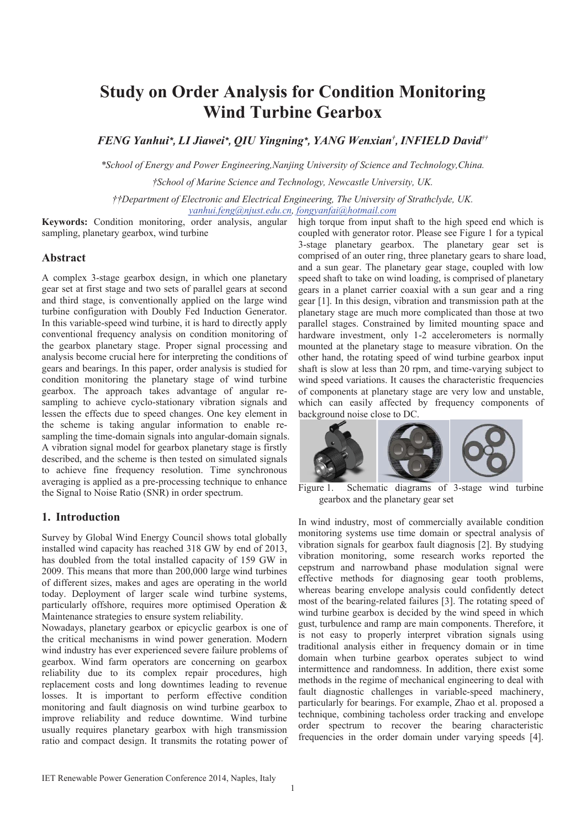# **Study on Order Analysis for Condition Monitoring Wind Turbine Gearbox**

*FENG Yanhui\*, LI Jiawei\*, QIU Yingning\*, YANG Wenxian† , INFIELD David††*

*\*School of Energy and Power Engineering,Nanjing University of Science and Technology,China.* 

*†School of Marine Science and Technology, Newcastle University, UK.* 

*††Department of Electronic and Electrical Engineering, The University of Strathclyde, UK. yanhui.feng@njust.edu.cn, fongyanfai@hotmail.com*

**Keywords:** Condition monitoring, order analysis, angular sampling, planetary gearbox, wind turbine

## **Abstract**

A complex 3-stage gearbox design, in which one planetary gear set at first stage and two sets of parallel gears at second and third stage, is conventionally applied on the large wind turbine configuration with Doubly Fed Induction Generator. In this variable-speed wind turbine, it is hard to directly apply conventional frequency analysis on condition monitoring of the gearbox planetary stage. Proper signal processing and analysis become crucial here for interpreting the conditions of gears and bearings. In this paper, order analysis is studied for condition monitoring the planetary stage of wind turbine gearbox. The approach takes advantage of angular resampling to achieve cyclo-stationary vibration signals and lessen the effects due to speed changes. One key element in the scheme is taking angular information to enable resampling the time-domain signals into angular-domain signals. A vibration signal model for gearbox planetary stage is firstly described, and the scheme is then tested on simulated signals to achieve fine frequency resolution. Time synchronous averaging is applied as a pre-processing technique to enhance the Signal to Noise Ratio (SNR) in order spectrum.

# **1. Introduction**

Survey by Global Wind Energy Council shows total globally installed wind capacity has reached 318 GW by end of 2013, has doubled from the total installed capacity of 159 GW in 2009. This means that more than 200,000 large wind turbines of different sizes, makes and ages are operating in the world today. Deployment of larger scale wind turbine systems, particularly offshore, requires more optimised Operation & Maintenance strategies to ensure system reliability.

Nowadays, planetary gearbox or epicyclic gearbox is one of the critical mechanisms in wind power generation. Modern wind industry has ever experienced severe failure problems of gearbox. Wind farm operators are concerning on gearbox reliability due to its complex repair procedures, high replacement costs and long downtimes leading to revenue losses. It is important to perform effective condition monitoring and fault diagnosis on wind turbine gearbox to improve reliability and reduce downtime. Wind turbine usually requires planetary gearbox with high transmission ratio and compact design. It transmits the rotating power of

high torque from input shaft to the high speed end which is coupled with generator rotor. Please see Figure 1 for a typical 3-stage planetary gearbox. The planetary gear set is comprised of an outer ring, three planetary gears to share load, and a sun gear. The planetary gear stage, coupled with low speed shaft to take on wind loading, is comprised of planetary gears in a planet carrier coaxial with a sun gear and a ring gear [1]. In this design, vibration and transmission path at the planetary stage are much more complicated than those at two parallel stages. Constrained by limited mounting space and hardware investment, only 1-2 accelerometers is normally mounted at the planetary stage to measure vibration. On the other hand, the rotating speed of wind turbine gearbox input shaft is slow at less than 20 rpm, and time-varying subject to wind speed variations. It causes the characteristic frequencies of components at planetary stage are very low and unstable, which can easily affected by frequency components of background noise close to DC.



Figure 1. Schematic diagrams of 3-stage wind turbine gearbox and the planetary gear set

In wind industry, most of commercially available condition monitoring systems use time domain or spectral analysis of vibration signals for gearbox fault diagnosis [2]. By studying vibration monitoring, some research works reported the cepstrum and narrowband phase modulation signal were effective methods for diagnosing gear tooth problems, whereas bearing envelope analysis could confidently detect most of the bearing-related failures [3]. The rotating speed of wind turbine gearbox is decided by the wind speed in which gust, turbulence and ramp are main components. Therefore, it is not easy to properly interpret vibration signals using traditional analysis either in frequency domain or in time domain when turbine gearbox operates subject to wind intermittence and randomness. In addition, there exist some methods in the regime of mechanical engineering to deal with fault diagnostic challenges in variable-speed machinery, particularly for bearings. For example, Zhao et al. proposed a technique, combining tacholess order tracking and envelope order spectrum to recover the bearing characteristic frequencies in the order domain under varying speeds [4].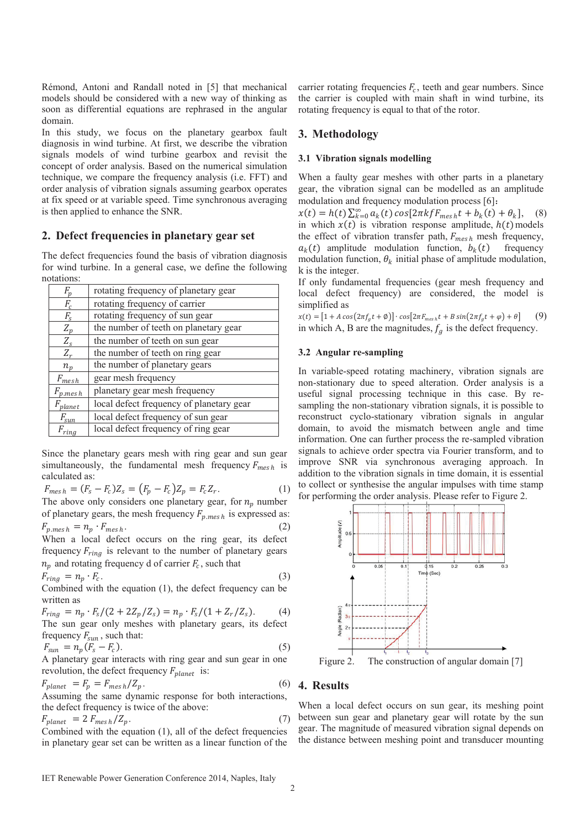Rémond, Antoni and Randall noted in [5] that mechanical models should be considered with a new way of thinking as soon as differential equations are rephrased in the angular domain.

In this study, we focus on the planetary gearbox fault diagnosis in wind turbine. At first, we describe the vibration signals models of wind turbine gearbox and revisit the concept of order analysis. Based on the numerical simulation technique, we compare the frequency analysis (i.e. FFT) and order analysis of vibration signals assuming gearbox operates at fix speed or at variable speed. Time synchronous averaging is then applied to enhance the SNR.

### **2. Defect frequencies in planetary gear set**

The defect frequencies found the basis of vibration diagnosis for wind turbine. In a general case, we define the following notations:

| $F_p$                       | rotating frequency of planetary gear     |
|-----------------------------|------------------------------------------|
| $F_c$                       | rotating frequency of carrier            |
| $F_{S}$                     | rotating frequency of sun gear           |
| $Z_p$                       | the number of teeth on planetary gear    |
| $Z_{\rm s}$                 | the number of teeth on sun gear          |
| $Z_r$                       | the number of teeth on ring gear         |
| $n_{p}$                     | the number of planetary gears            |
| $F_{\underline{mesh}}$      | gear mesh frequency                      |
| $F_{p \cdot \text{mes } h}$ | planetary gear mesh frequency            |
| $F_{\text{planet}}$         | local defect frequency of planetary gear |
| $F_{\text{sun}}$            | local defect frequency of sun gear       |
| $F_{ring}$                  | local defect frequency of ring gear      |

Since the planetary gears mesh with ring gear and sun gear simultaneously, the fundamental mesh frequency  $F_{mesh}$  is calculated as:

$$
F_{mesh} = (F_s - F_c)Z_s = (F_p - F_c)Z_p = F_c Z_r.
$$
\n(1)

The above only considers one planetary gear, for  $n_n$  number of planetary gears, the mesh frequency  $F_{p,mesh}$  is expressed as:<br> $F = \frac{m}{\sqrt{2}} F_{p,mesh}$  $\vdots$   $\vdots$   $\vdots$ 

$$
F_{p,mesh} = n_p \cdot F_{mesh}.
$$
\nWhen a local defect occurs on the ring gear, its defect frequency  $F_{\text{min}}$ , is relevant to the number of planetary years.

equency  $F_{ring}$  is relevant  $n_p$  and rotating frequency d of carrier  $F_c$ , such that

$$
F_{ring} = n_p \cdot F_c. \tag{3}
$$

Combined with the equation (1), the defect frequency can be written as

$$
F_{ring} = n_p \cdot F_s / (2 + 2Z_p / Z_s) = n_p \cdot F_s / (1 + Z_r / Z_s).
$$
 (4)  
The sun gear only meshes with planetary years, its defect  
frequency  $F_{sun}$ , such that:

$$
F_{sun} = n_p (F_s - F_c). \tag{5}
$$

A planetary gear interacts with ring gear and sun gear in one revolution, the defect frequency  $F_{planet}$  is:

$$
F_{planet} = F_p = F_{mesh}/Z_p.
$$
\n(6)

Assuming the same dynamic response for both interactions, the defect frequency is twice of the above:

$$
F_{planet} = 2 F_{mesh}/Z_p. \tag{7}
$$

Combined with the equation (1), all of the defect frequencies in planetary gear set can be written as a linear function of the

carrier rotating frequencies  $F_c$ , teeth and gear numbers. Since the carrier is coupled with main shaft in wind turbine, its rotating frequency is equal to that of the rotor.

# **3. Methodology**

#### **3.1 Vibration signals modelling**

When a faulty gear meshes with other parts in a planetary gear, the vibration signal can be modelled as an amplitude modulation and frequency modulation process  $[6]$ :

 $x(t) = h(t) \sum_{k=0}^{\infty} a_k(t) \cos[2\pi k f F_{mesh} t + b_k(t) + \theta_k],$  (8) in which  $x(t)$  is vibration response amplitude,  $h(t)$  models the effect of vibration transfer path,  $F_{mesh}$  mesh frequency,  $a_k(t)$  amplitude modulation function,  $b_k(t)$  frequency modulation function,  $\theta_k$  initial phase of amplitude modulation, k is the integer.

If only fundamental frequencies (gear mesh frequency and local defect frequency) are considered, the model is simplified as

 $x(t) = [1 + A\cos(2\pi f_g t + \emptyset)] \cdot \cos[2\pi F_{mesh} t + B\sin(2\pi f_g t + \varphi) + \theta]$  (9) in which A, B are the magnitudes,  $f_a$  is the defect frequency.

#### **3.2 Angular re-sampling**

In variable-speed rotating machinery, vibration signals are non-stationary due to speed alteration. Order analysis is a useful signal processing technique in this case. By resampling the non-stationary vibration signals, it is possible to reconstruct cyclo-stationary vibration signals in angular domain, to avoid the mismatch between angle and time information. One can further process the re-sampled vibration signals to achieve order spectra via Fourier transform, and to improve SNR via synchronous averaging approach. In addition to the vibration signals in time domain, it is essential to collect or synthesise the angular impulses with time stamp for performing the order analysis. Please refer to Figure 2.



Figure 2. The construction of angular domain [7]

# **4. Results**

When a local defect occurs on sun gear, its meshing point between sun gear and planetary gear will rotate by the sun gear. The magnitude of measured vibration signal depends on the distance between meshing point and transducer mounting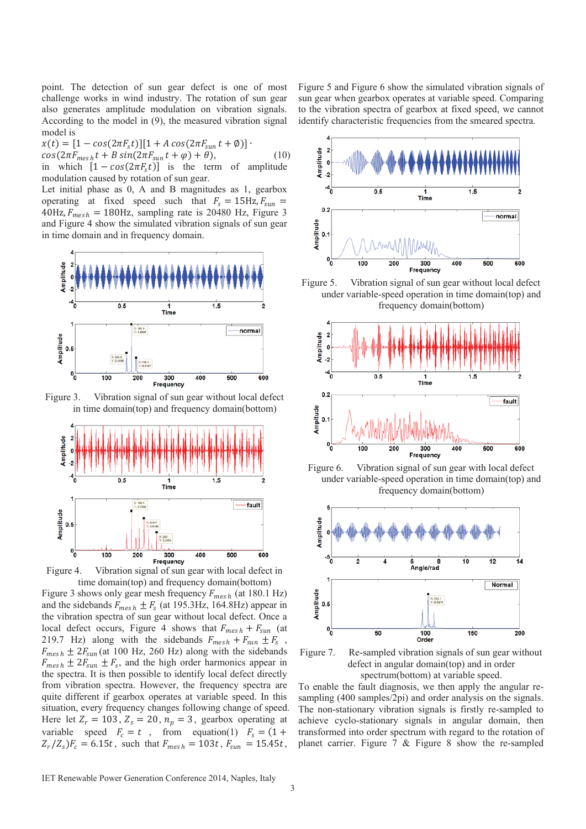point. The detection of sun gear defect is one of most challenge works in wind industry. The rotation of sun gear also generates amplitude modulation on vibration signals. According to the model in (9), the measured vibration signal model is

 $x(t) = [1 - \cos(2\pi F_s t)][1 + A \cos(2\pi F_{sun} t + \emptyset)]$  $cos(2\pi F_{mesh}t + B\sin(2\pi F_{sun}t + \varphi) + \theta),$  (10) in which  $[1 - cos(2\pi F_s t)]$  is the term of amplitude modulation caused by rotation of sun gear.

Let initial phase as 0, A and B magnitudes as 1, gearbox operating at fixed speed such that  $F_s = 15$ Hz,  $F_{sun} =$  $40$ Hz,  $F_{mesh} = 180$ Hz, sampling rate is 20480 Hz, Figure 3 and Figure 4 show the simulated vibration signals of sun gear in time domain and in frequency domain.



Figure 3. Vibration signal of sun gear without local defect in time domain(top) and frequency domain(bottom)



Figure 4. Vibration signal of sun gear with local defect in time domain(top) and frequency domain(bottom)

Figure 3 shows only gear mesh frequency  $F_{mesh}$  (at 180.1 Hz) and the sidebands  $F_{mesh} \pm F_s$  (at 195.3Hz, 164.8Hz) appear in the vibration spectra of sun gear without local defect. Once a local defect occurs, Figure 4 shows that  $F_{mesh} + F_{sun}$  (at 219.7 Hz) along with the sidebands  $F_{mesh} + F_{sun} \pm F_s$  $F_{mesh} \pm 2F_{sun}$  (at 100 Hz, 260 Hz) along with the sidebands  $F_{mesh} \pm 2F_{sun} \pm F_s$ , and the high order harmonics appear in the spectra. It is then possible to identify local defect directly from vibration spectra. However, the frequency spectra are quite different if gearbox operates at variable speed. In this situation, every frequency changes following change of speed. Here let  $Z_r = 103$ ,  $Z_s = 20$ ,  $n_p = 3$ , gearbox operating at variable speed  $F_c = t$ , from equation(1)  $F_s = (1 +$  $Z_r/Z_s$ ) $F_c = 6.15t$ , such that  $F_{mesh} = 103t$ ,  $F_{sun} = 15.45t$ ,

Figure 5 and Figure 6 show the simulated vibration signals of sun gear when gearbox operates at variable speed. Comparing to the vibration spectra of gearbox at fixed speed, we cannot identify characteristic frequencies from the smeared spectra.



Figure 5. Vibration signal of sun gear without local defect under variable-speed operation in time domain(top) and frequency domain(bottom)



Figure 6. Vibration signal of sun gear with local defect under variable-speed operation in time domain(top) and frequency domain(bottom)



Figure 7. Re-sampled vibration signals of sun gear without defect in angular domain(top) and in order spectrum(bottom) at variable speed.

To enable the fault diagnosis, we then apply the angular resampling (400 samples/2pi) and order analysis on the signals. The non-stationary vibration signals is firstly re-sampled to achieve cyclo-stationary signals in angular domain, then transformed into order spectrum with regard to the rotation of planet carrier. Figure 7 & Figure 8 show the re-sampled